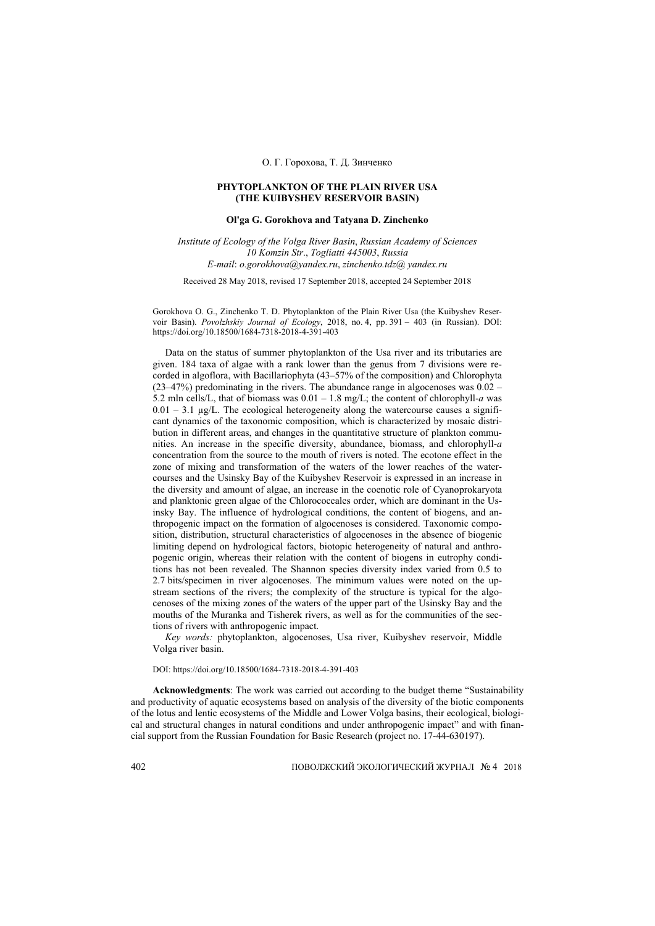## О. Г. Горохова, Т. Д. Зинченко

### **PHYTOPLANKTON OF THE PLAIN RIVER USA (THE KUIBYSHEV RESERVOIR BASIN)**

## **Ol'ga G. Gorokhova and Tatyana D. Zinchenko**

*Institute of Ecology of the Volga River Basin*, *Russian Academy of Sciences 10 Komzin Str*., *Togliatti 445003*, *Russia E-mail*: *o.gorokhova@yandex.ru*, *zinchenko.tdz@ yandex.ru*

Received 28 May 2018, revised 17 September 2018, accepted 24 September 2018

Gorokhova O. G., Zinchenko T. D. Phytoplankton of the Plain River Usa (the Kuibyshev Reservoir Basin). *Povolzhskiy Journal of Ecology*, 2018, no. 4, pp. 391 – 403 (in Russian). DOI: https://doi.org/10.18500/1684-7318-2018-4-391-403

Data on the status of summer phytoplankton of the Usa river and its tributaries are given. 184 taxa of algae with a rank lower than the genus from 7 divisions were recorded in algoflora, with Bacillariophyta (43–57% of the composition) and Chlorophyta (23–47%) predominating in the rivers. The abundance range in algocenoses was 0.02 – 5.2 mln cells/L, that of biomass was  $0.01 - 1.8$  mg/L; the content of chlorophyll-*a* was  $0.01 - 3.1 \mu g/L$ . The ecological heterogeneity along the watercourse causes a significant dynamics of the taxonomic composition, which is characterized by mosaic distribution in different areas, and changes in the quantitative structure of plankton communities. An increase in the specific diversity, abundance, biomass, and chlorophyll-*a* concentration from the source to the mouth of rivers is noted. The ecotone effect in the zone of mixing and transformation of the waters of the lower reaches of the watercourses and the Usinsky Bay of the Kuibyshev Reservoir is expressed in an increase in the diversity and amount of algae, an increase in the coenotic role of Cyanoprokaryota and planktonic green algae of the Chlorococcales order, which are dominant in the Usinsky Bay. The influence of hydrological conditions, the content of biogens, and anthropogenic impact on the formation of algocenoses is considered. Taxonomic composition, distribution, structural characteristics of algocenoses in the absence of biogenic limiting depend on hydrological factors, biotopic heterogeneity of natural and anthropogenic origin, whereas their relation with the content of biogens in eutrophy conditions has not been revealed. The Shannon species diversity index varied from 0.5 to 2.7 bits/specimen in river algocenoses. The minimum values were noted on the upstream sections of the rivers; the complexity of the structure is typical for the algocenoses of the mixing zones of the waters of the upper part of the Usinsky Bay and the mouths of the Muranka and Tisherek rivers, as well as for the communities of the sections of rivers with anthropogenic impact.

*Key words:* phytoplankton, algocenoses, Usa river, Kuibyshev reservoir, Middle Volga river basin.

DOI: https://doi.org/10.18500/1684-7318-2018-4-391-403

**Acknowledgments**: The work was carried out according to the budget theme "Sustainability and productivity of aquatic ecosystems based on analysis of the diversity of the biotic components of the lotus and lentic ecosystems of the Middle and Lower Volga basins, their ecological, biological and structural changes in natural conditions and under anthropogenic impact" and with financial support from the Russian Foundation for Basic Research (project no. 17-44-630197).